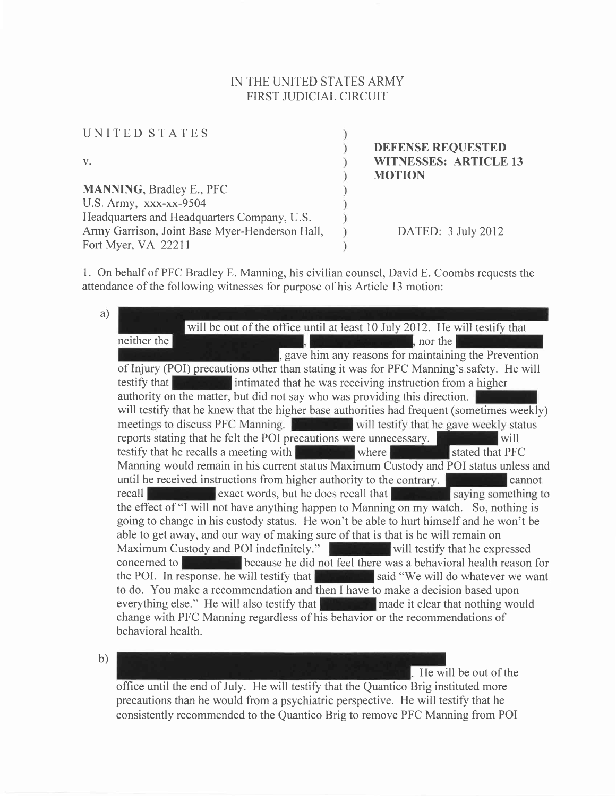## IN THE UNITED STATES ARMY FIRST JUDICIAL CIRCUIT

| <b>DEFENSE REQUESTED</b>     |
|------------------------------|
| <b>WITNESSES: ARTICLE 13</b> |
| <b>MOTION</b>                |
|                              |
|                              |
|                              |
| DATED: 3 July 2012           |
|                              |
|                              |

1. On behalf of PFC Bradley E. Manning, his civilian counsel, David E. Coombs requests the attendance of the following witnesses for purpose of his Article l3 motion:

a) will be out of the office until at least 10 July 2012. He will testify that neither the  $\blacksquare$ , nor the  $\blacksquare$ gave him any reasons for maintaining the Prevention of Injury (POI) precautions other than stating it was for PFC Manning's safety. He will testify that **interest intimated that he was receiving instruction from a higher** authority on the matter, but did not say who was providing this direction. will testify that he knew that the higher base authorities had frequent (sometimes weekly) meetings to discuss PFC Manning. will testify that he gave weekly status reports stating that he felt the POI precautions were unnecessary. testify that he recalls a meeting with where where stated that PFC Manning would remain in his current status Maximum Custody and POI status unless and until he received instructions from higher authority to the contrary. cannot recall **the contract of the state words**, but he does recall that **the contract of the state of the state of the state of the state of the state of the state of the state of the state of the state of the state of the state** the effect of "I will not have anything happen to Manning on my watch. So, nothing is going to change in his custody status. He won't be able to hurt himself and he won't be able to get away, and our way of making sure of that is that is he will remain on Maximum Custody and POI indefinitely." We have will testify that he expressed concerned to **because he did not feel there was a behavioral health reason for** the POI. In response, he will testify that  $\mathbb{R}$  said "We will do whatever we want to do. You make a recommendation and then I have to make a decision based upon everything else." He will also testify that **the made it clear that nothing would** change with PFC Manning regardless of his behavior or the recommendations of behavioral health.

b)

He will be out of the

office until the end of July. He will testify that the Quantico Brig instituted more precautions than he would from a psychiatric perspective. He will testify that he consistently recommended to the Quantico Brig to remove PFC Manning from POI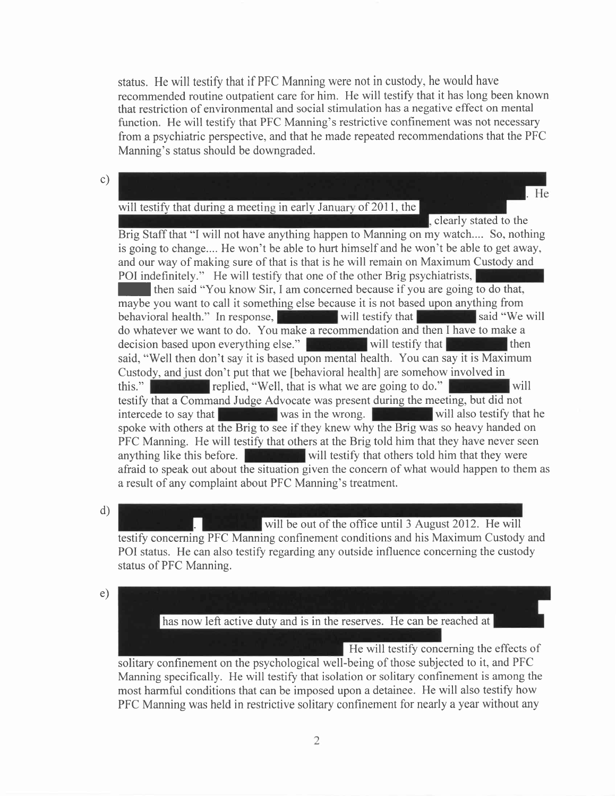status. He will testify that if PFC Manning were not in custody, he would have recommended routine outpatient care for him. He will testify that it has long been known that restriction of environmental and social stimulation has a negative effect on mental function. He will testify that PFC Manning's restrictive confinement was not necessary from a psychiatric perspective, and that he made repeated recommendations that the PFC Manning's status should be downgraded.

c)

## will testify that during a meeting in early January of 2011, the

He

clearly stated to the Brig Staff that "I will not have anything happen to Manning on my watch.... So, nothing is going to change.... He won't be able to hurt himself and he won't be able to get away, and our way of making sure of that is that is he will remain on Maximum Custody and POI indefinitely." He will testify that one of the other Brig psychiatrists,

**If then said "You know Sir, I am concerned because if you are going to do that,** maybe you want to call it something else because it is not based upon anything from behavioral health." In response, will testify that  $\sim$  said "We will do whatever we want to do. You make a recommendation and then I have to make a decision based upon everything else." will testify that then said, "Well then don't say it is based upon mental health. You can say it is Maximum Custody, and just don't put that we [behavioral health] are somehow involved in this." replied, "Well, that is what we are going to do." **Figure 1999** will testify that a Command Judge Advocate was present during the meeting, but did not intercede to say that  $\|\cdot\|$  was in the wrong. We will also testify that he spoke with others at the Brig to see if they knew why the Brig was so heavy handed on PFC Manning. He will testify that others at the Brig told him that they have never seen anything like this before. While  $\mathbf{w}$  will testify that others told him that they were afraid to speak out about the situation given the concern of what would happen to them as a result of any complaint about PFC Manning's treatment.

d)

will be out of the office until 3 August 2012. He will testify concerning PFC Manning confinement conditions and his Maximum Custody and POI status. He can also testify regarding any outside influence concerning the custody status of PFC Manning.

e)

has now left active duty and is in the reserves. He can be reached at

He will testify concerning the effects of solitary confinement on the psychological well-being of those subjected to it, and PFC Manning specifically. He will testify that isolation or solitary confinement is among the most harmful conditions that can be imposed upon a detainee. He will also testify how PFC Manning was held in restrictive solitary confinement for nearly a year without any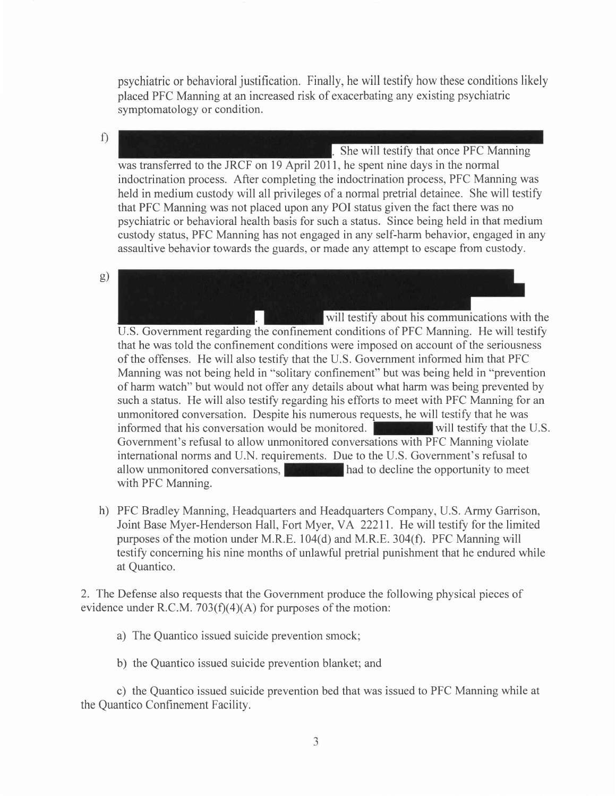psychiatric or behavioral justification. Finally, he will testify how these conditions likely placed PFC Manning at an increased risk of exacerbating any existing psychiatric symptomatology or condition.

 $f$ 

She will testify that once PFC Manning was transferred to the JRCF on 19 April 2011, he spent nine days in the normal indoctrination process. After completing the indoctrination process, PFC Manning was held in medium custody will all privileges of a normal pretrial detainee. She will testify that PFC Manning was not placed upon any POI status given the fact there was no psychiatric or behavioral health basis for such a status. Since being held in that medium custody status, PFC Manning has not engaged in any self-harm behavior, engaged in any assaultive behavior towards the guards, or made any attempt to escape from custody.

s)

will testify about his communications with the U.S. Government regarding the confinement conditions of PFC Manning. He will testify that he was told the confinement conditions were imposed on account of the seriousness of the offenses. He will also testify that the U.S. Government informed him that PFC Manning was not being held in "solitary confinement" but was being held in "prevention of harm watch" but would not offer any details about what harm was being prevented by such a status. He will also testify regarding his efforts to meet with PFC Manning for an unmonitored conversation. Despite his numerous requests, he will testify that he was informed that his conversation would be monitored. We have will testify that the U.S. Government's refusal to allow unmonitored conversations with PFC Manning violate international norrns and U.N. requirements. Due to the U.S. Government's refusal to allow unmonitored conversations, had to decline the opportunity to meet with PFC Manning.

h) PFC Bradley Manning, Headquarters and Headquarters Company, U.S. Army Garrison, Joint Base Myer-Henderson Hall, Fort Myer, VA 22211. He will testify for the limited purposes of the motion under M.R.E. 104(d) and M.R.E. 304(f). PFC Manning will testify concerning his nine months of unlawful pretrial punishment that he endured while at Quantico.

2. The Defense also requests that the Government produce the following physical pieces of evidence under R.C.M. 703 $(f)(4)(A)$  for purposes of the motion:

- a) The Quantico issued suicide prevention smock;
- b) the Quantico issued suicide prevention blanket; and

c) the Quantico issued suicide prevention bed that was issued to PFC Manning while at the Quantico Confinement Facility.